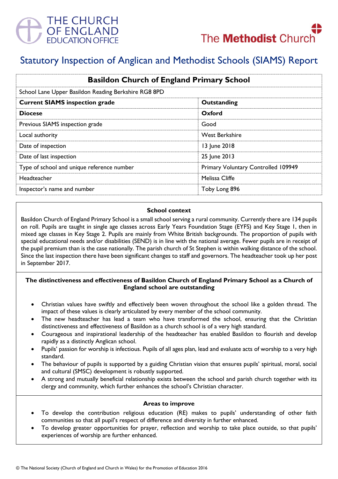



# Statutory Inspection of Anglican and Methodist Schools (SIAMS) Report

| <b>Basildon Church of England Primary School</b>     |                                     |
|------------------------------------------------------|-------------------------------------|
| School Lane Upper Basildon Reading Berkshire RG8 8PD |                                     |
| <b>Current SIAMS inspection grade</b>                | Outstanding                         |
| <b>Diocese</b>                                       | Oxford                              |
| Previous SIAMS inspection grade                      | Good                                |
| Local authority                                      | <b>West Berkshire</b>               |
| Date of inspection                                   | 13 June 2018                        |
| Date of last inspection                              | 25 June 2013                        |
| Type of school and unique reference number           | Primary Voluntary Controlled 109949 |
| Headteacher                                          | Melissa Cliffe                      |
| Inspector's name and number                          | Toby Long 896                       |

#### **School context**

Basildon Church of England Primary School is a small school serving a rural community. Currently there are 134 pupils on roll. Pupils are taught in single age classes across Early Years Foundation Stage (EYFS) and Key Stage 1, then in mixed age classes in Key Stage 2. Pupils are mainly from White British backgrounds. The proportion of pupils with special educational needs and/or disabilities (SEND) is in line with the national average. Fewer pupils are in receipt of the pupil premium than is the case nationally. The parish church of St Stephen is within walking distance of the school. Since the last inspection there have been significant changes to staff and governors. The headteacher took up her post in September 2017.

# **The distinctiveness and effectiveness of Basildon Church of England Primary School as a Church of England school are outstanding**

- Christian values have swiftly and effectively been woven throughout the school like a golden thread. The impact of these values is clearly articulated by every member of the school community.
- The new headteacher has lead a team who have transformed the school, ensuring that the Christian distinctiveness and effectiveness of Basildon as a church school is of a very high standard.
- Courageous and inspirational leadership of the headteacher has enabled Basildon to flourish and develop rapidly as a distinctly Anglican school.
- Pupils' passion for worship is infectious. Pupils of all ages plan, lead and evaluate acts of worship to a very high standard.
- The behaviour of pupils is supported by a guiding Christian vision that ensures pupils' spiritual, moral, social and cultural (SMSC) development is robustly supported.
- A strong and mutually beneficial relationship exists between the school and parish church together with its clergy and community, which further enhances the school's Christian character.

#### **Areas to improve**

- To develop the contribution religious education (RE) makes to pupils' understanding of other faith communities so that all pupil's respect of difference and diversity in further enhanced.
- To develop greater opportunities for prayer, reflection and worship to take place outside, so that pupils' experiences of worship are further enhanced.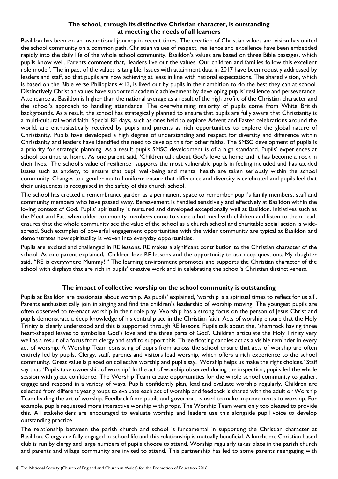## **The school, through its distinctive Christian character, is outstanding at meeting the needs of all learners**

Basildon has been on an inspirational journey in recent times. The creation of Christian values and vision has united the school community on a common path. Christian values of respect, resilience and excellence have been embedded rapidly into the daily life of the whole school community. Basildon's values are based on three Bible passages, which pupils know well. Parents comment that, 'leaders live out the values. Our children and families follow this excellent role model'. The impact of the values is tangible. Issues with attainment data in 2017 have been robustly addressed by leaders and staff, so that pupils are now achieving at least in line with national expectations. The shared vision, which is based on the Bible verse Philippians 4:13, is lived out by pupils in their ambition to do the best they can at school. Distinctively Christian values have supported academic achievement by developing pupils' resilience and perseverance. Attendance at Basildon is higher than the national average as a result of the high profile of the Christian character and the school's approach to handling attendance. The overwhelming majority of pupils come from White British backgrounds. As a result, the school has strategically planned to ensure that pupils are fully aware that Christianity is a multi-cultural world faith. Special RE days, such as ones held to explore Advent and Easter celebrations around the world, are enthusiastically received by pupils and parents as rich opportunities to explore the global nature of Christianity. Pupils have developed a high degree of understanding and respect for diversity and difference within Christianity and leaders have identified the need to develop this for other faiths. The SMSC development of pupils is a priority for strategic planning. As a result pupils SMSC development is of a high standard. Pupils' experiences at school continue at home. As one parent said, 'Children talk about God's love at home and it has become a rock in their lives.' The school's value of resilience supports the most vulnerable pupils in feeling included and has tackled issues such as anxiety, to ensure that pupil well-being and mental health are taken seriously within the school community. Changes to a gender neutral uniform ensure that difference and diversity is celebrated and pupils feel that their uniqueness is recognised in the safety of this church school.

The school has created a remembrance garden as a permanent space to remember pupil's family members, staff and community members who have passed away. Bereavement is handled sensitively and effectively at Basildon within the loving context of God. Pupils' spirituality is nurtured and developed exceptionally well at Basildon. Initiatives such as the Meet and Eat, when older community members come to share a hot meal with children and listen to them read, ensures that the whole community see the value of the school as a church school and charitable social action is widespread. Such examples of powerful engagement opportunities with the wider community are typical at Basildon and demonstrates how spirituality is woven into everyday opportunities.

Pupils are excited and challenged in RE lessons. RE makes a significant contribution to the Christian character of the school. As one parent explained, 'Children love RE lessons and the opportunity to ask deep questions. My daughter said, "RE is everywhere Mummy!"' The learning environment promotes and supports the Christian character of the school with displays that are rich in pupils' creative work and in celebrating the school's Christian distinctiveness.

## **The impact of collective worship on the school community is outstanding**

Pupils at Basildon are passionate about worship. As pupils' explained, 'worship is a spiritual times to reflect for us all'. Parents enthusiastically join in singing and find the children's leadership of worship moving. The youngest pupils are often observed to re-enact worship in their role play. Worship has a strong focus on the person of Jesus Christ and pupils demonstrate a deep knowledge of his central place in the Christian faith. Acts of worship ensure that the Holy Trinity is clearly understood and this is supported through RE lessons. Pupils talk about the, 'shamrock having three heart-shaped leaves to symbolise God's love and the three parts of God'. Children articulate the Holy Trinity very well as a result of a focus from clergy and staff to support this. Three floating candles act as a visible reminder in every act of worship. A Worship Team consisting of pupils from across the school ensure that acts of worship are often entirely led by pupils. Clergy, staff, parents and visitors lead worship, which offers a rich experience to the school community. Great value is placed on collective worship and pupils say, 'Worship helps us make the right choices.' Staff say that, 'Pupils take ownership of worship.' In the act of worship observed during the inspection, pupils led the whole session with great confidence. The Worship Team create opportunities for the whole school community to gather, engage and respond in a variety of ways. Pupils confidently plan, lead and evaluate worship regularly. Children are selected from different year groups to evaluate each act of worship and feedback is shared with the adult or Worship Team leading the act of worship. Feedback from pupils and governors is used to make improvements to worship. For example, pupils requested more interactive worship with props. The Worship Team were only too pleased to provide this. All stakeholders are encouraged to evaluate worship and leaders use this alongside pupil voice to develop outstanding practice.

The relationship between the parish church and school is fundamental in supporting the Christian character at Basildon. Clergy are fully engaged in school life and this relationship is mutually beneficial. A lunchtime Christian based club is run by clergy and large numbers of pupils choose to attend. Worship regularly takes place in the parish church and parents and village community are invited to attend. This partnership has led to some parents reengaging with